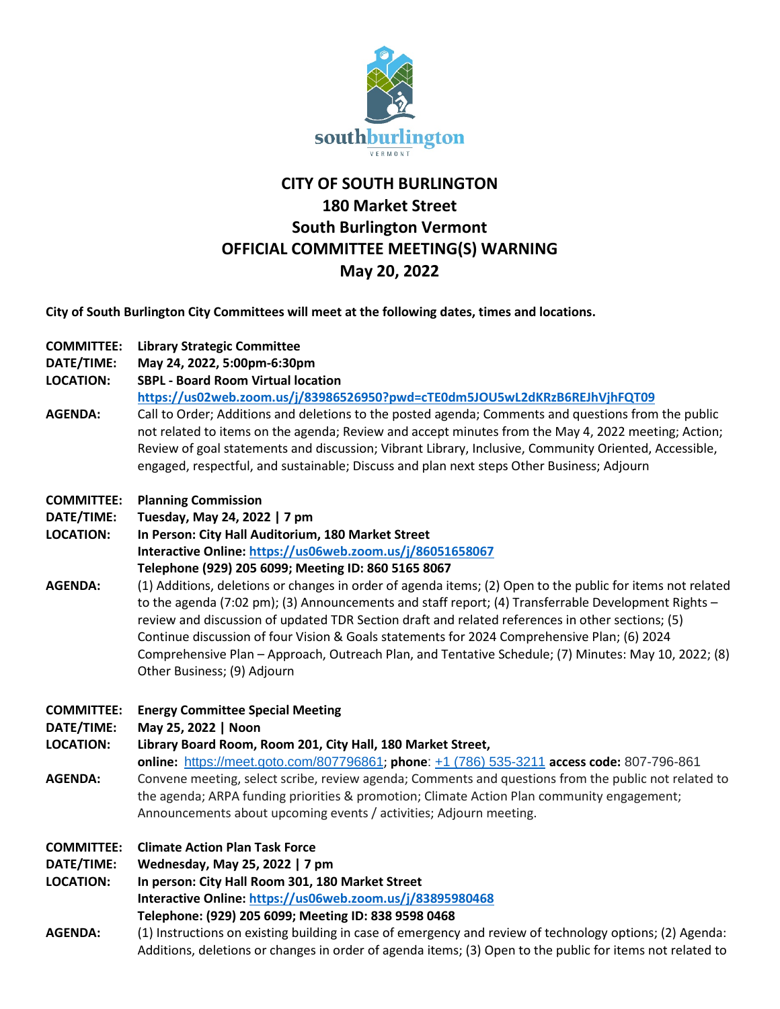

## **CITY OF SOUTH BURLINGTON 180 Market Street South Burlington Vermont OFFICIAL COMMITTEE MEETING(S) WARNING May 20, 2022**

**City of South Burlington City Committees will meet at the following dates, times and locations.** 

| <b>COMMITTEE:</b><br>DATE/TIME:<br><b>LOCATION:</b> | <b>Library Strategic Committee</b><br>May 24, 2022, 5:00pm-6:30pm<br><b>SBPL - Board Room Virtual location</b>                                                                                                                                                                                                                                                                                                                                                                                                                                              |
|-----------------------------------------------------|-------------------------------------------------------------------------------------------------------------------------------------------------------------------------------------------------------------------------------------------------------------------------------------------------------------------------------------------------------------------------------------------------------------------------------------------------------------------------------------------------------------------------------------------------------------|
| <b>AGENDA:</b>                                      | https://us02web.zoom.us/j/83986526950?pwd=cTE0dm5JOU5wL2dKRzB6REJhVjhFQT09<br>Call to Order; Additions and deletions to the posted agenda; Comments and questions from the public<br>not related to items on the agenda; Review and accept minutes from the May 4, 2022 meeting; Action;<br>Review of goal statements and discussion; Vibrant Library, Inclusive, Community Oriented, Accessible,<br>engaged, respectful, and sustainable; Discuss and plan next steps Other Business; Adjourn                                                              |
| <b>COMMITTEE:</b>                                   | <b>Planning Commission</b>                                                                                                                                                                                                                                                                                                                                                                                                                                                                                                                                  |
| DATE/TIME:                                          | Tuesday, May 24, 2022   7 pm                                                                                                                                                                                                                                                                                                                                                                                                                                                                                                                                |
| <b>LOCATION:</b>                                    | In Person: City Hall Auditorium, 180 Market Street<br>Interactive Online: https://us06web.zoom.us/j/86051658067                                                                                                                                                                                                                                                                                                                                                                                                                                             |
|                                                     | Telephone (929) 205 6099; Meeting ID: 860 5165 8067                                                                                                                                                                                                                                                                                                                                                                                                                                                                                                         |
| <b>AGENDA:</b>                                      | (1) Additions, deletions or changes in order of agenda items; (2) Open to the public for items not related<br>to the agenda (7:02 pm); (3) Announcements and staff report; (4) Transferrable Development Rights -<br>review and discussion of updated TDR Section draft and related references in other sections; (5)<br>Continue discussion of four Vision & Goals statements for 2024 Comprehensive Plan; (6) 2024<br>Comprehensive Plan - Approach, Outreach Plan, and Tentative Schedule; (7) Minutes: May 10, 2022; (8)<br>Other Business; (9) Adjourn |
| <b>COMMITTEE:</b>                                   | <b>Energy Committee Special Meeting</b>                                                                                                                                                                                                                                                                                                                                                                                                                                                                                                                     |
| DATE/TIME:                                          | May 25, 2022   Noon                                                                                                                                                                                                                                                                                                                                                                                                                                                                                                                                         |
| <b>LOCATION:</b>                                    | Library Board Room, Room 201, City Hall, 180 Market Street,                                                                                                                                                                                                                                                                                                                                                                                                                                                                                                 |
|                                                     | online: https://meet.goto.com/807796861; phone: +1 (786) 535-3211 access code: 807-796-861                                                                                                                                                                                                                                                                                                                                                                                                                                                                  |
| <b>AGENDA:</b>                                      | Convene meeting, select scribe, review agenda; Comments and questions from the public not related to                                                                                                                                                                                                                                                                                                                                                                                                                                                        |
|                                                     | the agenda; ARPA funding priorities & promotion; Climate Action Plan community engagement;<br>Announcements about upcoming events / activities; Adjourn meeting.                                                                                                                                                                                                                                                                                                                                                                                            |
| <b>COMMITTEE:</b>                                   | <b>Climate Action Plan Task Force</b>                                                                                                                                                                                                                                                                                                                                                                                                                                                                                                                       |
| DATE/TIME:                                          | Wednesday, May 25, 2022   7 pm                                                                                                                                                                                                                                                                                                                                                                                                                                                                                                                              |
| <b>LOCATION:</b>                                    | In person: City Hall Room 301, 180 Market Street                                                                                                                                                                                                                                                                                                                                                                                                                                                                                                            |
|                                                     | Interactive Online: https://us06web.zoom.us/j/83895980468                                                                                                                                                                                                                                                                                                                                                                                                                                                                                                   |
|                                                     | Telephone: (929) 205 6099; Meeting ID: 838 9598 0468                                                                                                                                                                                                                                                                                                                                                                                                                                                                                                        |
| <b>AGENDA:</b>                                      | (1) Instructions on existing building in case of emergency and review of technology options; (2) Agenda:                                                                                                                                                                                                                                                                                                                                                                                                                                                    |

Additions, deletions or changes in order of agenda items; (3) Open to the public for items not related to